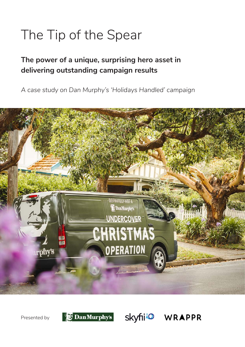# The Tip of the Spear

## **The power of a unique, surprising hero asset in delivering outstanding campaign results**

*A case study on Dan Murphy's 'Holidays Handled' campaign*



Presented by



Skyfii<sup>o</sup> WRAPPR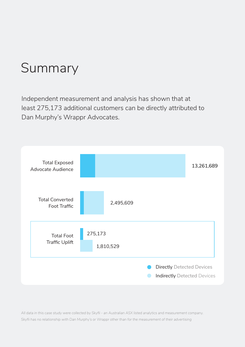# Summary

Independent measurement and analysis has shown that at least 275,173 additional customers can be directly attributed to Dan Murphy's Wrappr Advocates.



*All data in this case study were collected by Skyfii - an Australian ASX listed analytics and measurement company. Skyfii has no relationship with Dan Murphy's or Wrappr other than for the measurement of their advertising*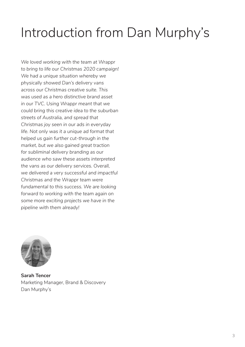# Introduction from Dan Murphy's

*We loved working with the team at Wrappr to bring to life our Christmas 2020 campaign! We had a unique situation whereby we physically showed Dan's delivery vans across our Christmas creative suite. This was used as a hero distinctive brand asset in our TVC. Using Wrappr meant that we could bring this creative idea to the suburban streets of Australia, and spread that Christmas joy seen in our ads in everyday life. Not only was it a unique ad format that helped us gain further cut-through in the market, but we also gained great traction for subliminal delivery branding as our audience who saw these assets interpreted the vans as our delivery services. Overall, we delivered a very successful and impactful Christmas and the Wrappr team were fundamental to this success. We are looking forward to working with the team again on some more exciting projects we have in the pipeline with them already!*



**Sarah Tencer** Marketing Manager, Brand & Discovery Dan Murphy's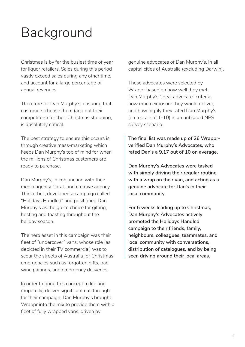# Background

Christmas is by far the busiest time of year for liquor retailers. Sales during this period vastly exceed sales during any other time, and account for a large percentage of annual revenues.

Therefore for Dan Murphy's, ensuring that customers choose them (and not their competitors) for their Christmas shopping, is absolutely critical.

The best strategy to ensure this occurs is through creative mass-marketing which keeps Dan Murphy's top of mind for when the millions of Christmas customers are ready to purchase.

Dan Murphy's, in conjunction with their media agency Carat, and creative agency Thinkerbell, developed a campaign called "Holidays Handled" and positioned Dan Murphy's as the go-to choice for gifting, hosting and toasting throughout the holiday season.

The hero asset in this campaign was their fleet of "undercover" vans, whose role (as depicted in their TV commercial) was to scour the streets of Australia for Christmas emergencies such as forgotten gifts, bad wine pairings, and emergency deliveries.

In order to bring this concept to life and (hopefully) deliver significant cut-through for their campaign, Dan Murphy's brought Wrappr into the mix to provide them with a fleet of fully wrapped vans, driven by

genuine advocates of Dan Murphy's, in all capital cities of Australia (excluding Darwin).

These advocates were selected by Wrappr based on how well they met Dan Murphy's "ideal advocate" criteria, how much exposure they would deliver, and how highly they rated Dan Murphy's (on a scale of 1-10) in an unbiased NPS survey scenario.

**The final list was made up of 26 Wrapprverified Dan Murphy's Advocates, who rated Dan's a 9.17 out of 10 on average.**

**Dan Murphy's Advocates were tasked with simply driving their regular routine, with a wrap on their van, and acting as a genuine advocate for Dan's in their local community.**

**For 6 weeks leading up to Christmas, Dan Murphy's Advocates actively promoted the Holidays Handled campaign to their friends, family, neighbours, colleagues, teammates, and local community with conversations, distribution of catalogues, and by being seen driving around their local areas.**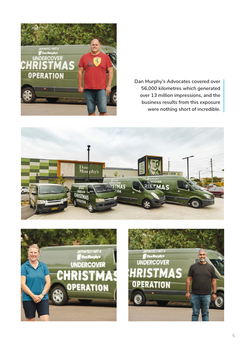

**Dan Murphy's Advocates covered over 56,000 kilometres which generated over 13 million impressions, and the business results from this exposure were nothing short of incredible.**





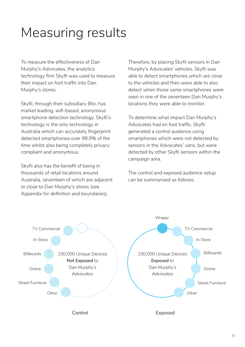# Measuring results

To measure the effectiveness of Dan Murphy's Advocates, the analytics technology firm Skyfii was used to measure their impact on foot traffic into Dan Murphy's stores.

Skyfii, through their subsidiary Blix, has market leading, wifi-based, anonymous smartphone detection technology. Skyfii's technology is the only technology in Australia which can accurately fingerprint detected smartphones over 99.9% of the time whilst also being completely privacy compliant and anonymous.

Skyfii also has the benefit of being in thousands of retail locations around Australia, seventeen of which are adjacent or close to Dan Murphy's stores (see Appendix for definition and boundaries).

Therefore, by placing Skyfii sensors in Dan Murphy's Advocates' vehicles, Skyfii was able to detect smartphones which are close to the vehicles and then were able to also detect when those same smartphones were seen in one of the seventeen Dan Murphy's locations they were able to monitor.

To determine what impact Dan Murphy's Advocates had on foot traffic, Skyfii generated a control audience using smartphones which were not detected by sensors in the Advocates' vans, but were detected by other Skyfii sensors within the campaign area.

The control and exposed audience setup can be summarised as follows:

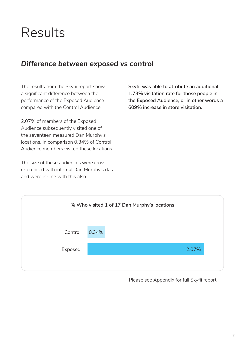## Results

## *Difference between exposed vs control*

The results from the Skyfii report show a significant difference between the performance of the Exposed Audience compared with the Control Audience.

2.07% of members of the Exposed Audience subsequently visited one of the seventeen measured Dan Murphy's locations. In comparison 0.34% of Control Audience members visited these locations.

The size of these audiences were crossreferenced with internal Dan Murphy's data and were in-line with this also.

**Skyfii was able to attribute an additional 1.73% visitation rate for those people in the Exposed Audience, or in other words a 609% increase in store visitation.**



Please see Appendix for full Skyfii report.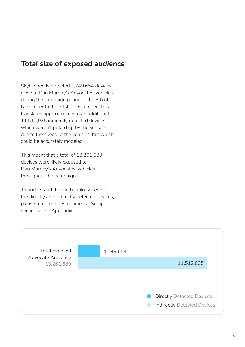## *Total size of exposed audience*

Skyfii directly detected 1,749,654 devices close to Dan Murphy's Advocates' vehicles during the campaign period of the 9th of November to the 31st of December. This translates approximately to an additional 11,512,035 indirectly detected devices, which weren't picked up by the sensors due to the speed of the vehicles, but which could be accurately modeled.

This meant that a total of 13,261,689 devices were likely exposed to Dan Murphy's Advocates' vehicles throughout the campaign.

To understand the methodology behind the directly and indirectly detected devices, please refer to the Experimental Setup section of the Appendix.

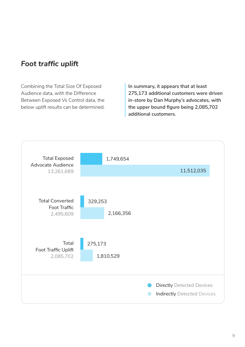## *Foot traffic uplift*

Combining the Total Size Of Exposed Audience data, with the Difference Between Exposed Vs Control data, the below uplift results can be determined. **In summary, it appears that at least 275,173 additional customers were driven in-store by Dan Murphy's advocates, with the upper bound figure being 2,085,702 additional customers.**

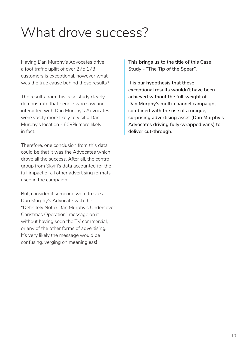# What drove success?

Having Dan Murphy's Advocates drive a foot traffic uplift of over 275,173 customers is exceptional, however what was the true cause behind these results?

The results from this case study clearly demonstrate that people who saw and interacted with Dan Murphy's Advocates were vastly more likely to visit a Dan Murphy's location - 609% more likely in fact.

Therefore, one conclusion from this data could be that it was the Advocates which drove all the success. After all, the control group from Skyfii's data accounted for the full impact of all other advertising formats used in the campaign.

But, consider if someone were to see a Dan Murphy's Advocate with the "Definitely Not A Dan Murphy's Undercover Christmas Operation" message on it without having seen the TV commercial, or any of the other forms of advertising. It's very likely the message would be confusing, verging on meaningless!

**This brings us to the title of this Case Study - "The Tip of the Spear".**

**It is our hypothesis that these exceptional results wouldn't have been achieved without the full-weight of Dan Murphy's multi-channel campaign, combined with the use of a unique, surprising advertising asset (Dan Murphy's Advocates driving fully-wrapped vans) to deliver cut-through.**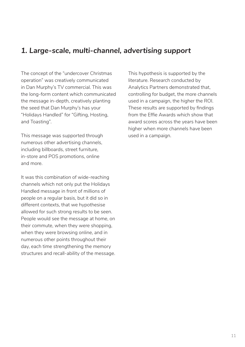## *1. Large-scale, multi-channel, advertising support*

The concept of the "undercover Christmas operation" was creatively communicated in Dan Murphy's TV commercial. This was the long-form content which communicated the message in-depth, creatively planting the seed that Dan Murphy's has your "Holidays Handled" for "Gifting, Hosting, and Toasting".

This message was supported through numerous other advertising channels, including billboards, street furniture, in-store and POS promotions, online and more.

It was this combination of wide-reaching channels which not only put the Holidays Handled message in front of millions of people on a regular basis, but it did so in different contexts, that we hypothesise allowed for such strong results to be seen. People would see the message at home, on their commute, when they were shopping, when they were browsing online, and in numerous other points throughout their day, each time strengthening the memory structures and recall-ability of the message. This hypothesis is supported by the literature. Research conducted by Analytics Partners demonstrated that, controlling for budget, the more channels used in a campaign, the higher the ROI. These results are supported by findings from the Effie Awards which show that award scores across the years have been higher when more channels have been used in a campaign.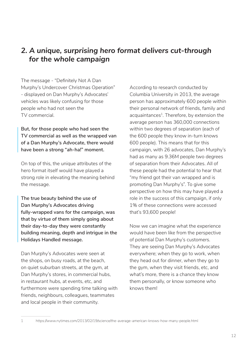## *2. A unique, surprising hero format delivers cut-through for the whole campaign*

The message - "Definitely Not A Dan Murphy's Undercover Christmas Operation" - displayed on Dan Murphy's Advocates' vehicles was likely confusing for those people who had not seen the TV commercial.

**But, for those people who had seen the TV commercial as well as the wrapped van of a Dan Murphy's Advocate, there would have been a strong "ah-ha!" moment.** 

On top of this, the unique attributes of the hero format itself would have played a strong role in elevating the meaning behind the message.

**The true beauty behind the use of Dan Murphy's Advocates driving fully-wrapped vans for the campaign, was that by virtue of them simply going about their day-to-day they were constantly building meaning, depth and intrigue in the Holidays Handled message.**

Dan Murphy's Advocates were seen at the shops, on busy roads, at the beach, on quiet suburban streets, at the gym, at Dan Murphy's stores, in commercial hubs, in restaurant hubs, at events, etc, and furthermore were spending time talking with friends, neighbours, colleagues, teammates and local people in their community.

According to research conducted by Columbia University in 2013, the average person has approximately 600 people within their personal network of friends, family and acquaintances<sup>1</sup>. Therefore, by extension the average person has 360,000 connections within two degrees of separation (each of the 600 people they know in-turn knows 600 people). This means that for this campaign, with 26 advocates, Dan Murphy's had as many as 9.36M people two degrees of separation from their Advocates. All of these people had the potential to hear that "my friend got their van wrapped and is promoting Dan Murphy's". To give some perspective on how this may have played a role in the success of this campaign, if only 1% of these connections were accessed that's 93,600 people!

Now we can imagine what the experience would have been like from the perspective of potential Dan Murphy's customers. They are seeing Dan Murphy's Advocates everywhere; when they go to work, when they head out for dinner, when they go to the gym, when they visit friends, etc, and what's more, there is a chance they know them personally, or know someone who knows them!

<sup>1</sup> https://www.nytimes.com/2013/02/19/science/the-average-american-knows-how-many-people.html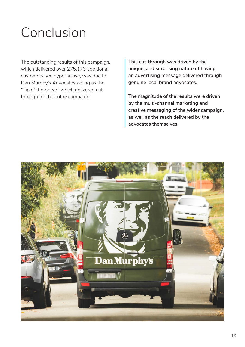# Conclusion

The outstanding results of this campaign, which delivered over 275,173 additional customers, we hypothesise, was due to Dan Murphy's Advocates acting as the "Tip of the Spear" which delivered cutthrough for the entire campaign.

**This cut-through was driven by the unique, and surprising nature of having an advertising message delivered through genuine local brand advocates.** 

**The magnitude of the results were driven by the multi-channel marketing and creative messaging of the wider campaign, as well as the reach delivered by the advocates themselves.**

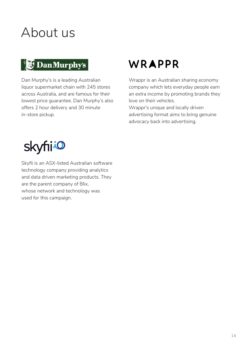# About us

## DanMurphy's

Dan Murphy's is a leading Australian liquor supermarket chain with 245 stores across Australia, and are famous for their lowest price guarantee. Dan Murphy's also offers 2 hour delivery and 30 minute in-store pickup.

## WRAPPR

Wrappr is an Australian sharing economy company which lets everyday people earn an extra income by promoting brands they love on their vehicles.

Wrappr's unique and locally driven advertising format aims to bring genuine advocacy back into advertising.



Skyfii is an ASX-listed Australian software technology company providing analytics and data driven marketing products. They are the parent company of Blix, whose network and technology was used for this campaign.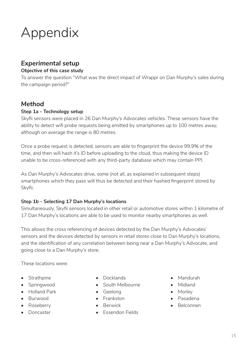# Appendix

## *Experimental setup*

### **Objective of this case study**

To answer the question "What was the direct impact of Wrappr on Dan Murphy's sales during the campaign period?"

### *Method*

### **Step 1a - Technology setup**

Skyfii sensors were placed in 26 Dan Murphy's Advocates vehicles. These sensors have the ability to detect wifi probe requests being emitted by smartphones up to 100 metres away, although on average the range is 80 metres.

Once a probe request is detected, sensors are able to fingerprint the device 99.9% of the time, and then will hash it's ID before uploading to the cloud, thus making the device ID unable to be cross-referenced with any third-party database which may contain PPI.

As Dan Murphy's Advocates drive, some (not all, as explained in subsequent steps) smartphones which they pass will thus be detected and their hashed fingerprint stored by Skyfii.

### **Step 1b - Selecting 17 Dan Murphy's locations**

Simultaneously, Skyfii sensors located in other retail or automotive stores within 1 kilometre of 17 Dan Murphy's locations are able to be used to monitor nearby smartphones as well.

This allows the cross referencing of devices detected by the Dan Murphy's Advocates' sensors and the devices detected by sensors in retail stores close to Dan Murphy's locations, and the identification of any correlation between being near a Dan Murphy's Advocate, and going close to a Dan Murphy's store.

These locations were:

- Strathpine
- Springwood
- Holland Park
- Burwood
- Roseberry
- Doncaster
- Docklands
- South Melbourne
- Geelong
- Frankston
- Berwick
- Essendon Fields
- Mandurah
- Midland
- Morley
- Pasadena
- Belconnen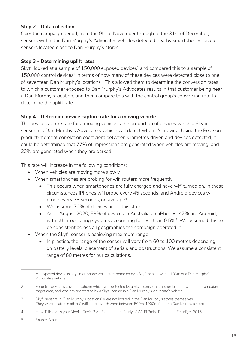### **Step 2 - Data collection**

Over the campaign period, from the 9th of November through to the 31st of December, sensors within the Dan Murphy's Advocates vehicles detected nearby smartphones, as did sensors located close to Dan Murphy's stores.

### **Step 3 - Determining uplift rates**

Skyfii looked at a sample of  $150,000$  exposed devices<sup>1</sup> and compared this to a sample of 150,000 control devices<sup>2</sup> in terms of how many of these devices were detected close to one of seventeen Dan Murphy's locations<sup>3</sup>. This allowed them to determine the conversion rates to which a customer exposed to Dan Murphy's Advocates results in that customer being near a Dan Murphy's location, and then compare this with the control group's conversion rate to determine the uplift rate.

### **Step 4 - Determine device capture rate for a moving vehicle**

The device capture rate for a moving vehicle is the proportion of devices which a Skyfii sensor in a Dan Murphy's Advocate's vehicle will detect when it's moving. Using the Pearson product-moment correlation coefficient between kilometres driven and devices detected, it could be determined that 77% of impressions are generated when vehicles are moving, and 23% are generated when they are parked.

This rate will increase in the following conditions:

- When vehicles are moving more slowly
- When smartphones are probing for wifi routers more frequently
	- This occurs when smartphones are fully charged and have wifi turned on. In these circumstances iPhones will probe every 45 seconds, and Android devices will probe every 38 seconds, on average<sup>4</sup>.
	- We assume 70% of devices are in this state.
	- As of August 2020, 53% of devices in Australia are iPhones, 47% are Android, with other operating systems accounting for less than 0.5%<sup>5</sup>. We assumed this to be consistent across all geographies the campaign operated in.
- When the Skyfii sensor is achieving maximum range
	- In practice, the range of the sensor will vary from 60 to 100 metres depending on battery levels, placement of aerials and obstructions. We assume a consistent range of 80 metres for our calculations.

<sup>1</sup> An exposed device is any smartphone which was detected by a Skyfii sensor within 100m of a Dan Murphy's Advocate's vehicle

<sup>2</sup> A control device is any smartphone which was detected by a Skyfii sensor at another location within the campaign's target area, and was never detected by a Skyfii sensor in a Dan Murphy's Advocate's vehicle

<sup>3</sup> Skyfii sensors in "Dan Murphy's locations" were not located in the Dan Murphy's stores themselves. They were located in other Skyfii stores which were between 500m-1000m from the Dan Murphy's store

<sup>4</sup> How Talkative is your Mobile Device? An Experimental Study of Wi-Fi Probe Requests - Freudiger 2015

<sup>5</sup> Source: Statista